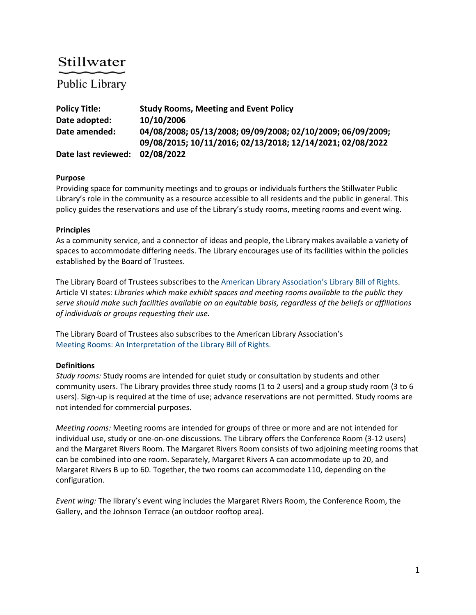# Stillwater

**Public Library** 

| <b>Policy Title:</b> | <b>Study Rooms, Meeting and Event Policy</b>                                                                              |
|----------------------|---------------------------------------------------------------------------------------------------------------------------|
| Date adopted:        | 10/10/2006                                                                                                                |
| Date amended:        | 04/08/2008; 05/13/2008; 09/09/2008; 02/10/2009; 06/09/2009;<br>09/08/2015; 10/11/2016; 02/13/2018; 12/14/2021; 02/08/2022 |
| Date last reviewed:  | 02/08/2022                                                                                                                |

#### **Purpose**

Providing space for community meetings and to groups or individuals furthers the Stillwater Public Library's role in the community as a resource accessible to all residents and the public in general. This policy guides the reservations and use of the Library's study rooms, meeting rooms and event wing.

#### **Principles**

As a community service, and a connector of ideas and people, the Library makes available a variety of spaces to accommodate differing needs. The Library encourages use of its facilities within the policies established by the Board of Trustees.

The Library Board of Trustees subscribes to th[e American Library Association's Library Bill of Rights.](https://www.ala.org/advocacy/intfreedom/librarybill) Article VI states: *Libraries which make exhibit spaces and meeting rooms available to the public they serve should make such facilities available on an equitable basis, regardless of the beliefs or affiliations of individuals or groups requesting their use.*

The Library Board of Trustees also subscribes to the American Library Association's [Meeting Rooms: An Interpretation of the Library Bill of Rights.](http://www.ala.org/advocacy/intfreedom/librarybill/interpretations/meetingrooms)

## **Definitions**

*Study rooms:* Study rooms are intended for quiet study or consultation by students and other community users. The Library provides three study rooms (1 to 2 users) and a group study room (3 to 6 users). Sign-up is required at the time of use; advance reservations are not permitted. Study rooms are not intended for commercial purposes.

*Meeting rooms:* Meeting rooms are intended for groups of three or more and are not intended for individual use, study or one-on-one discussions. The Library offers the Conference Room (3-12 users) and the Margaret Rivers Room. The Margaret Rivers Room consists of two adjoining meeting rooms that can be combined into one room. Separately, Margaret Rivers A can accommodate up to 20, and Margaret Rivers B up to 60. Together, the two rooms can accommodate 110, depending on the configuration.

*Event wing:* The library's event wing includes the Margaret Rivers Room, the Conference Room, the Gallery, and the Johnson Terrace (an outdoor rooftop area).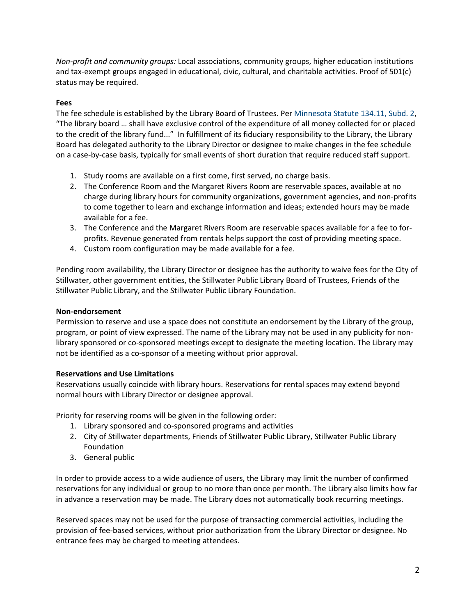*Non-profit and community groups:* Local associations, community groups, higher education institutions and tax-exempt groups engaged in educational, civic, cultural, and charitable activities. Proof of 501(c) status may be required.

### **Fees**

The fee schedule is established by the Library Board of Trustees. Pe[r Minnesota Statute 134.11, Subd. 2,](https://www.revisor.mn.gov/statutes/?id=134.11) "The library board … shall have exclusive control of the expenditure of all money collected for or placed to the credit of the library fund..." In fulfillment of its fiduciary responsibility to the Library, the Library Board has delegated authority to the Library Director or designee to make changes in the fee schedule on a case-by-case basis, typically for small events of short duration that require reduced staff support.

- 1. Study rooms are available on a first come, first served, no charge basis.
- 2. The Conference Room and the Margaret Rivers Room are reservable spaces, available at no charge during library hours for community organizations, government agencies, and non-profits to come together to learn and exchange information and ideas; extended hours may be made available for a fee.
- 3. The Conference and the Margaret Rivers Room are reservable spaces available for a fee to forprofits. Revenue generated from rentals helps support the cost of providing meeting space.
- 4. Custom room configuration may be made available for a fee.

Pending room availability, the Library Director or designee has the authority to waive fees for the City of Stillwater, other government entities, the Stillwater Public Library Board of Trustees, Friends of the Stillwater Public Library, and the Stillwater Public Library Foundation.

### **Non-endorsement**

Permission to reserve and use a space does not constitute an endorsement by the Library of the group, program, or point of view expressed. The name of the Library may not be used in any publicity for nonlibrary sponsored or co-sponsored meetings except to designate the meeting location. The Library may not be identified as a co-sponsor of a meeting without prior approval.

#### **Reservations and Use Limitations**

Reservations usually coincide with library hours. Reservations for rental spaces may extend beyond normal hours with Library Director or designee approval.

Priority for reserving rooms will be given in the following order:

- 1. Library sponsored and co-sponsored programs and activities
- 2. City of Stillwater departments, Friends of Stillwater Public Library, Stillwater Public Library Foundation
- 3. General public

In order to provide access to a wide audience of users, the Library may limit the number of confirmed reservations for any individual or group to no more than once per month. The Library also limits how far in advance a reservation may be made. The Library does not automatically book recurring meetings.

Reserved spaces may not be used for the purpose of transacting commercial activities, including the provision of fee-based services, without prior authorization from the Library Director or designee. No entrance fees may be charged to meeting attendees.